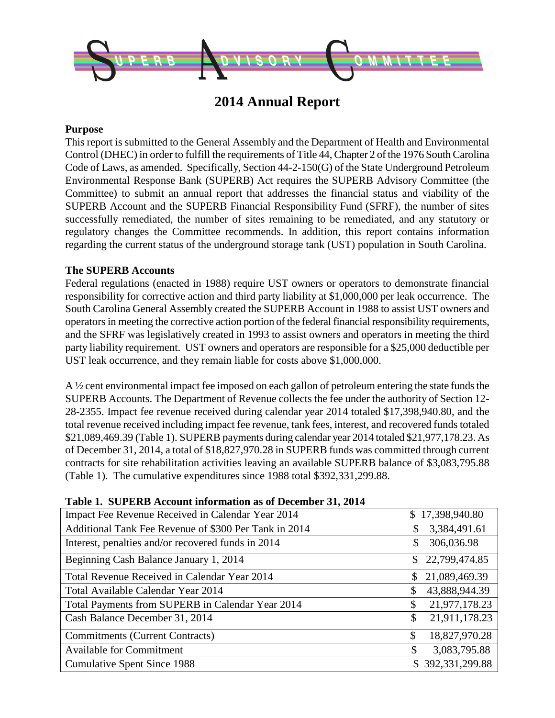

## **2014 Annual Report**

#### **Purpose**

This report is submitted to the General Assembly and the Department of Health and Environmental Control (DHEC) in order to fulfill the requirements of Title 44, Chapter 2 of the 1976 South Carolina Code of Laws, as amended. Specifically, Section 44-2-150(G) of the State Underground Petroleum Environmental Response Bank (SUPERB) Act requires the SUPERB Advisory Committee (the Committee) to submit an annual report that addresses the financial status and viability of the SUPERB Account and the SUPERB Financial Responsibility Fund (SFRF), the number of sites successfully remediated, the number of sites remaining to be remediated, and any statutory or regulatory changes the Committee recommends. In addition, this report contains information regarding the current status of the underground storage tank (UST) population in South Carolina.

#### **The SUPERB Accounts**

Federal regulations (enacted in 1988) require UST owners or operators to demonstrate financial responsibility for corrective action and third party liability at \$1,000,000 per leak occurrence. The South Carolina General Assembly created the SUPERB Account in 1988 to assist UST owners and operators in meeting the corrective action portion of the federal financial responsibility requirements, and the SFRF was legislatively created in 1993 to assist owners and operators in meeting the third party liability requirement. UST owners and operators are responsible for a \$25,000 deductible per UST leak occurrence, and they remain liable for costs above \$1,000,000.

A ½ cent environmental impact fee imposed on each gallon of petroleum entering the state funds the SUPERB Accounts. The Department of Revenue collects the fee under the authority of Section 12- 28-2355. Impact fee revenue received during calendar year 2014 totaled \$17,398,940.80, and the total revenue received including impact fee revenue, tank fees, interest, and recovered funds totaled \$21,089,469.39 (Table 1). SUPERB payments during calendar year 2014 totaled \$21,977,178.23. As of December 31, 2014, a total of \$18,827,970.28 in SUPERB funds was committed through current contracts for site rehabilitation activities leaving an available SUPERB balance of \$3,083,795.88 (Table 1). The cumulative expenditures since 1988 total \$392,331,299.88.

| Table 1. SUPERD ACCOUNT INFORMATION AS 01 December 31, 2014 |                                 |
|-------------------------------------------------------------|---------------------------------|
| Impact Fee Revenue Received in Calendar Year 2014           | \$17,398,940.80                 |
| Additional Tank Fee Revenue of \$300 Per Tank in 2014       | 3,384,491.61<br>\$              |
| Interest, penalties and/or recovered funds in 2014          | 306,036.98<br>\$                |
| Beginning Cash Balance January 1, 2014                      | 22,799,474.85<br>$\mathbb{S}^-$ |
| Total Revenue Received in Calendar Year 2014                | 21,089,469.39<br>\$             |
| Total Available Calendar Year 2014                          | 43,888,944.39<br>\$             |
| Total Payments from SUPERB in Calendar Year 2014            | 21,977,178.23<br>\$             |
| Cash Balance December 31, 2014                              | 21,911,178.23<br>\$             |
| <b>Commitments (Current Contracts)</b>                      | 18,827,970.28<br>\$             |
| <b>Available for Commitment</b>                             | 3,083,795.88<br>\$              |
| <b>Cumulative Spent Since 1988</b>                          | \$392,331,299.88                |
|                                                             |                                 |

#### **Table 1. SUPERB Account information as of December 31, 2014**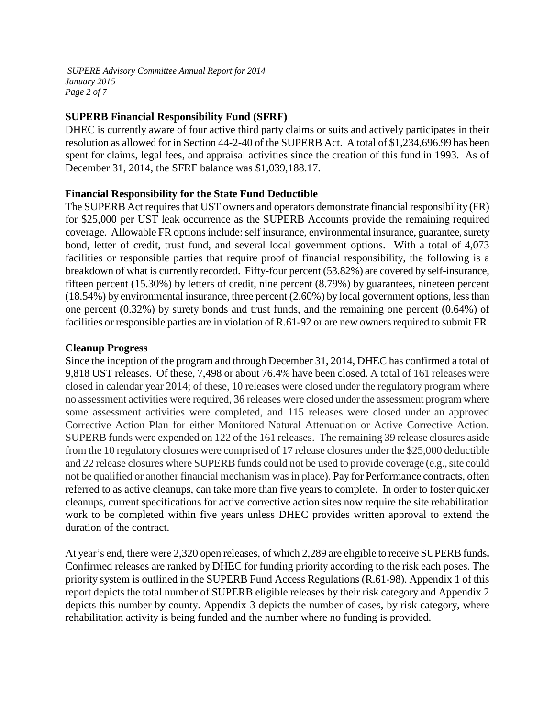*SUPERB Advisory Committee Annual Report for 2014 January 2015 Page 2 of 7*

#### **SUPERB Financial Responsibility Fund (SFRF)**

DHEC is currently aware of four active third party claims or suits and actively participates in their resolution as allowed for in Section 44-2-40 of the SUPERB Act. A total of \$1,234,696.99 has been spent for claims, legal fees, and appraisal activities since the creation of this fund in 1993. As of December 31, 2014, the SFRF balance was \$1,039,188.17.

#### **Financial Responsibility for the State Fund Deductible**

The SUPERB Act requires that UST owners and operators demonstrate financial responsibility (FR) for \$25,000 per UST leak occurrence as the SUPERB Accounts provide the remaining required coverage. Allowable FR options include: self insurance, environmental insurance, guarantee, surety bond, letter of credit, trust fund, and several local government options. With a total of 4,073 facilities or responsible parties that require proof of financial responsibility, the following is a breakdown of what is currently recorded. Fifty-four percent (53.82%) are covered by self-insurance, fifteen percent (15.30%) by letters of credit, nine percent (8.79%) by guarantees, nineteen percent (18.54%) by environmental insurance, three percent (2.60%) by local government options, less than one percent (0.32%) by surety bonds and trust funds, and the remaining one percent (0.64%) of facilities or responsible parties are in violation of R.61-92 or are new owners required to submit FR.

#### **Cleanup Progress**

Since the inception of the program and through December 31, 2014, DHEC has confirmed a total of 9,818 UST releases. Of these, 7,498 or about 76.4% have been closed. A total of 161 releases were closed in calendar year 2014; of these, 10 releases were closed under the regulatory program where no assessment activities were required, 36 releases were closed under the assessment program where some assessment activities were completed, and 115 releases were closed under an approved Corrective Action Plan for either Monitored Natural Attenuation or Active Corrective Action. SUPERB funds were expended on 122 of the 161 releases. The remaining 39 release closures aside from the 10 regulatory closures were comprised of 17 release closures under the \$25,000 deductible and 22 release closures where SUPERB funds could not be used to provide coverage (e.g., site could not be qualified or another financial mechanism was in place). Pay for Performance contracts, often referred to as active cleanups, can take more than five years to complete. In order to foster quicker cleanups, current specifications for active corrective action sites now require the site rehabilitation work to be completed within five years unless DHEC provides written approval to extend the duration of the contract.

At year's end, there were 2,320 open releases, of which 2,289 are eligible to receive SUPERB funds**.**  Confirmed releases are ranked by DHEC for funding priority according to the risk each poses. The priority system is outlined in the SUPERB Fund Access Regulations (R.61-98). Appendix 1 of this report depicts the total number of SUPERB eligible releases by their risk category and Appendix 2 depicts this number by county. Appendix 3 depicts the number of cases, by risk category, where rehabilitation activity is being funded and the number where no funding is provided.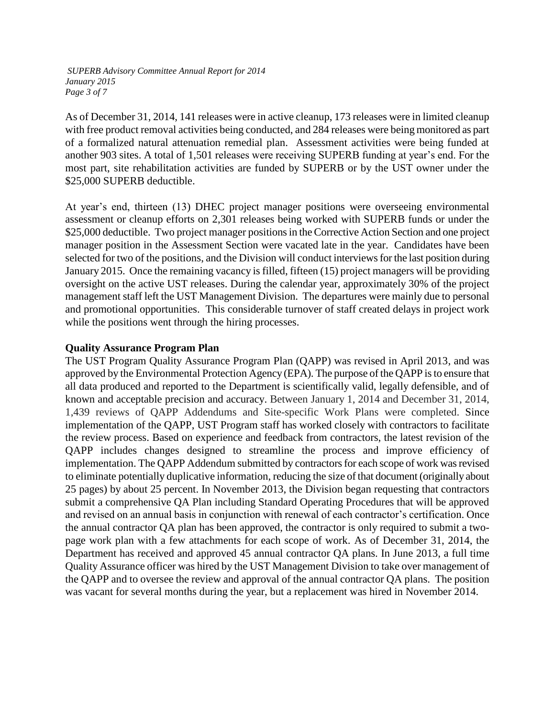*SUPERB Advisory Committee Annual Report for 2014 January 2015 Page 3 of 7*

As of December 31, 2014, 141 releases were in active cleanup, 173 releases were in limited cleanup with free product removal activities being conducted, and 284 releases were being monitored as part of a formalized natural attenuation remedial plan. Assessment activities were being funded at another 903 sites. A total of 1,501 releases were receiving SUPERB funding at year's end. For the most part, site rehabilitation activities are funded by SUPERB or by the UST owner under the \$25,000 SUPERB deductible.

At year's end, thirteen (13) DHEC project manager positions were overseeing environmental assessment or cleanup efforts on 2,301 releases being worked with SUPERB funds or under the \$25,000 deductible. Two project manager positions in the Corrective Action Section and one project manager position in the Assessment Section were vacated late in the year. Candidates have been selected for two of the positions, and the Division will conduct interviews for the last position during January 2015. Once the remaining vacancy is filled, fifteen (15) project managers will be providing oversight on the active UST releases. During the calendar year, approximately 30% of the project management staff left the UST Management Division. The departures were mainly due to personal and promotional opportunities. This considerable turnover of staff created delays in project work while the positions went through the hiring processes.

#### **Quality Assurance Program Plan**

The UST Program Quality Assurance Program Plan (QAPP) was revised in April 2013, and was approved by the Environmental Protection Agency (EPA). The purpose of the QAPP is to ensure that all data produced and reported to the Department is scientifically valid, legally defensible, and of known and acceptable precision and accuracy. Between January 1, 2014 and December 31, 2014, 1,439 reviews of QAPP Addendums and Site-specific Work Plans were completed. Since implementation of the QAPP, UST Program staff has worked closely with contractors to facilitate the review process. Based on experience and feedback from contractors, the latest revision of the QAPP includes changes designed to streamline the process and improve efficiency of implementation. The QAPP Addendum submitted by contractors for each scope of work was revised to eliminate potentially duplicative information, reducing the size of that document (originally about 25 pages) by about 25 percent. In November 2013, the Division began requesting that contractors submit a comprehensive QA Plan including Standard Operating Procedures that will be approved and revised on an annual basis in conjunction with renewal of each contractor's certification. Once the annual contractor QA plan has been approved, the contractor is only required to submit a twopage work plan with a few attachments for each scope of work. As of December 31, 2014, the Department has received and approved 45 annual contractor QA plans. In June 2013, a full time Quality Assurance officer was hired by the UST Management Division to take over management of the QAPP and to oversee the review and approval of the annual contractor QA plans. The position was vacant for several months during the year, but a replacement was hired in November 2014.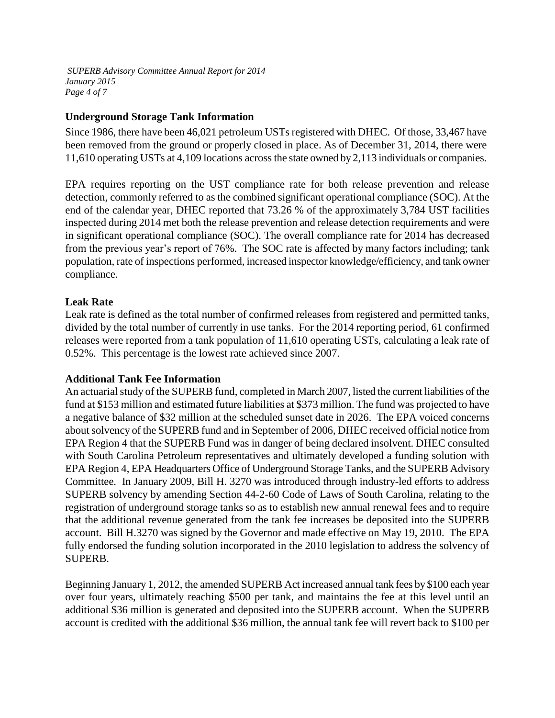*SUPERB Advisory Committee Annual Report for 2014 January 2015 Page 4 of 7*

#### **Underground Storage Tank Information**

Since 1986, there have been 46,021 petroleum USTs registered with DHEC. Of those, 33,467 have been removed from the ground or properly closed in place. As of December 31, 2014, there were 11,610 operating USTs at 4,109 locations across the state owned by 2,113 individuals or companies.

EPA requires reporting on the UST compliance rate for both release prevention and release detection, commonly referred to as the combined significant operational compliance (SOC). At the end of the calendar year, DHEC reported that 73.26 % of the approximately 3,784 UST facilities inspected during 2014 met both the release prevention and release detection requirements and were in significant operational compliance (SOC). The overall compliance rate for 2014 has decreased from the previous year's report of 76%. The SOC rate is affected by many factors including; tank population, rate of inspections performed, increased inspector knowledge/efficiency, and tank owner compliance.

#### **Leak Rate**

Leak rate is defined as the total number of confirmed releases from registered and permitted tanks, divided by the total number of currently in use tanks. For the 2014 reporting period, 61 confirmed releases were reported from a tank population of 11,610 operating USTs, calculating a leak rate of 0.52%. This percentage is the lowest rate achieved since 2007.

#### **Additional Tank Fee Information**

An actuarial study of the SUPERB fund, completed in March 2007, listed the current liabilities of the fund at \$153 million and estimated future liabilities at \$373 million. The fund was projected to have a negative balance of \$32 million at the scheduled sunset date in 2026. The EPA voiced concerns about solvency of the SUPERB fund and in September of 2006, DHEC received official notice from EPA Region 4 that the SUPERB Fund was in danger of being declared insolvent. DHEC consulted with South Carolina Petroleum representatives and ultimately developed a funding solution with EPA Region 4, EPA Headquarters Office of Underground Storage Tanks, and the SUPERB Advisory Committee. In January 2009, Bill H. 3270 was introduced through industry-led efforts to address SUPERB solvency by amending Section 44-2-60 Code of Laws of South Carolina, relating to the registration of underground storage tanks so as to establish new annual renewal fees and to require that the additional revenue generated from the tank fee increases be deposited into the SUPERB account. Bill H.3270 was signed by the Governor and made effective on May 19, 2010. The EPA fully endorsed the funding solution incorporated in the 2010 legislation to address the solvency of SUPERB.

Beginning January 1, 2012, the amended SUPERB Act increased annual tank fees by \$100 each year over four years, ultimately reaching \$500 per tank, and maintains the fee at this level until an additional \$36 million is generated and deposited into the SUPERB account. When the SUPERB account is credited with the additional \$36 million, the annual tank fee will revert back to \$100 per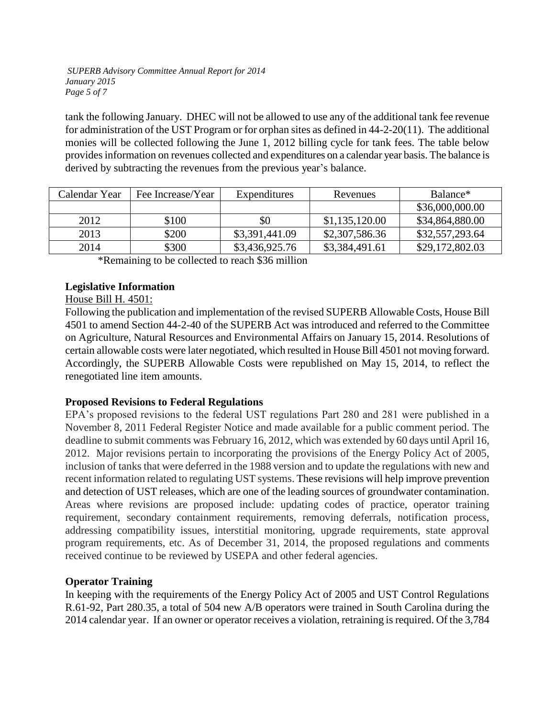*SUPERB Advisory Committee Annual Report for 2014 January 2015 Page 5 of 7*

tank the following January. DHEC will not be allowed to use any of the additional tank fee revenue for administration of the UST Program or for orphan sites as defined in 44-2-20(11). The additional monies will be collected following the June 1, 2012 billing cycle for tank fees. The table below provides information on revenues collected and expenditures on a calendar year basis. The balance is derived by subtracting the revenues from the previous year's balance.

| Calendar Year | Fee Increase/Year | Expenditures   | Revenues       | Balance <sup>*</sup> |  |
|---------------|-------------------|----------------|----------------|----------------------|--|
|               |                   |                |                | \$36,000,000.00      |  |
| 2012          | \$100             | \$0            | \$1,135,120.00 | \$34,864,880.00      |  |
| 2013          | \$200             | \$3,391,441.09 | \$2,307,586.36 | \$32,557,293.64      |  |
| 2014          | \$300             | \$3,436,925.76 | \$3,384,491.61 | \$29,172,802.03      |  |

\*Remaining to be collected to reach \$36 million

### **Legislative Information**

#### House Bill H. 4501:

Following the publication and implementation of the revised SUPERB Allowable Costs, House Bill 4501 to amend Section 44-2-40 of the SUPERB Act was introduced and referred to the Committee on Agriculture, Natural Resources and Environmental Affairs on January 15, 2014. Resolutions of certain allowable costs were later negotiated, which resulted in House Bill 4501 not moving forward. Accordingly, the SUPERB Allowable Costs were republished on May 15, 2014, to reflect the renegotiated line item amounts.

#### **Proposed Revisions to Federal Regulations**

EPA's proposed revisions to the federal UST regulations Part 280 and 281 were published in a November 8, 2011 Federal Register Notice and made available for a public comment period. The deadline to submit comments was February 16, 2012, which was extended by 60 days until April 16, 2012. Major revisions pertain to incorporating the provisions of the Energy Policy Act of 2005, inclusion of tanks that were deferred in the 1988 version and to update the regulations with new and recent information related to regulating UST systems. These revisions will help improve prevention and detection of UST releases, which are one of the leading sources of groundwater contamination. Areas where revisions are proposed include: updating codes of practice, operator training requirement, secondary containment requirements, removing deferrals, notification process, addressing compatibility issues, interstitial monitoring, upgrade requirements, state approval program requirements, etc. As of December 31, 2014, the proposed regulations and comments received continue to be reviewed by USEPA and other federal agencies.

### **Operator Training**

In keeping with the requirements of the Energy Policy Act of 2005 and UST Control Regulations R.61-92, Part 280.35, a total of 504 new A/B operators were trained in South Carolina during the 2014 calendar year. If an owner or operator receives a violation, retraining is required. Of the 3,784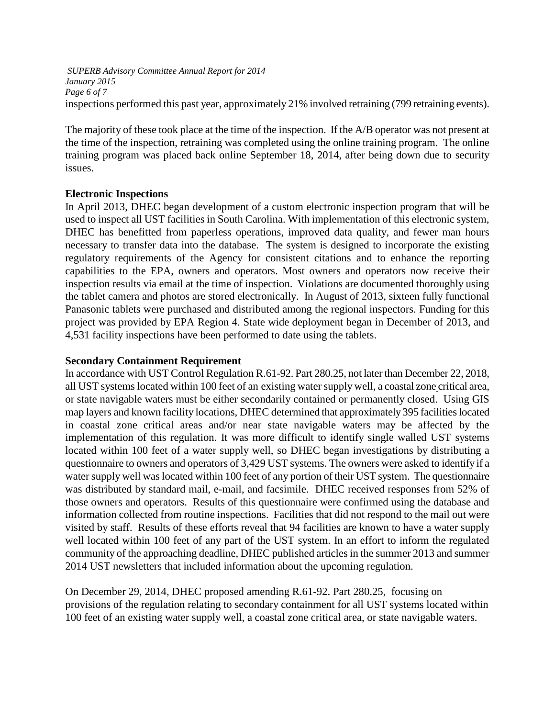*SUPERB Advisory Committee Annual Report for 2014 January 2015 Page 6 of 7* inspections performed this past year, approximately 21% involved retraining (799 retraining events).

The majority of these took place at the time of the inspection. If the A/B operator was not present at the time of the inspection, retraining was completed using the online training program. The online training program was placed back online September 18, 2014, after being down due to security issues.

#### **Electronic Inspections**

In April 2013, DHEC began development of a custom electronic inspection program that will be used to inspect all UST facilities in South Carolina. With implementation of this electronic system, DHEC has benefitted from paperless operations, improved data quality, and fewer man hours necessary to transfer data into the database. The system is designed to incorporate the existing regulatory requirements of the Agency for consistent citations and to enhance the reporting capabilities to the EPA, owners and operators. Most owners and operators now receive their inspection results via email at the time of inspection. Violations are documented thoroughly using the tablet camera and photos are stored electronically. In August of 2013, sixteen fully functional Panasonic tablets were purchased and distributed among the regional inspectors. Funding for this project was provided by EPA Region 4. State wide deployment began in December of 2013, and 4,531 facility inspections have been performed to date using the tablets.

#### **Secondary Containment Requirement**

In accordance with UST Control Regulatio[n R.61-92. Part 280.25,](http://www.scdhec.gov/environment/lwm/regs/R.61-92_part280.pdf) not later than December 22, 2018, all UST systems located within 100 feet of an existing water supply well, [a coastal zone](http://www.scdhec.gov/environment/water/docs/nw_map.pdf) critical area, or [state navigable waters](http://www.scdhec.gov/environment/water/docs/nw_map.pdf) must be either [secondarily contained or p](http://www.scdhec.gov/environment/lwm/usthome/Secondary.htm)ermanently closed. Using GIS map layers and known facility locations, DHEC determined that approximately 395 facilities located in coastal zone critical areas and/or near state navigable waters may be affected by the implementation of this regulation. It was more difficult to identify single walled UST systems located within 100 feet of a water supply well, so DHEC began investigations by distributing a questionnaire to owners and operators of 3,429 UST systems. The owners were asked to identify if a water supply well was located within 100 feet of any portion of their UST system. The questionnaire was distributed by standard mail, e-mail, and facsimile. DHEC received responses from 52% of those owners and operators. Results of this questionnaire were confirmed using the database and information collected from routine inspections. Facilities that did not respond to the mail out were visited by staff. Results of these efforts reveal that 94 facilities are known to have a water supply well located within 100 feet of any part of the UST system. In an effort to inform the regulated community of the approaching deadline, DHEC published articles in the summer 2013 and summer 2014 UST newsletters that included information about the upcoming regulation.

On December 29, 2014, DHEC proposed amending [R.61-92. Part 280.25,](http://www.scdhec.gov/environment/lwm/regs/R.61-92_part280.pdf) focusing on provisions of the regulation relating to secondary containment for all UST systems located within 100 feet of an existing water supply well, a coastal zone critical area, or state navigable waters.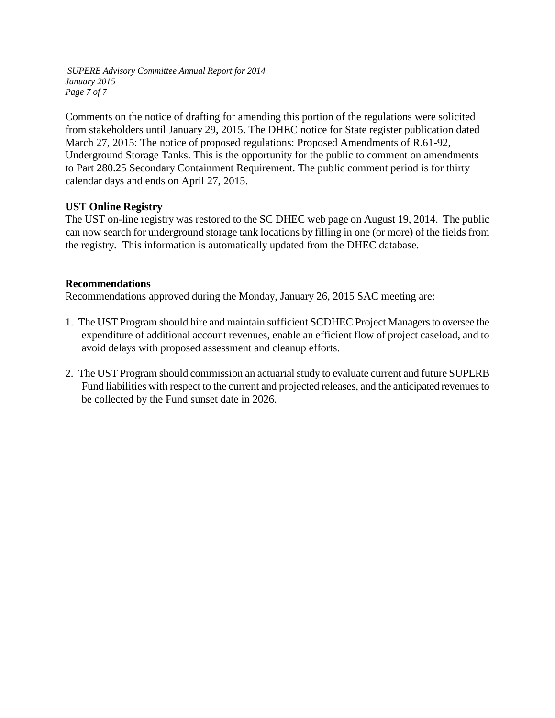*SUPERB Advisory Committee Annual Report for 2014 January 2015 Page 7 of 7*

Comments on the notice of drafting for amending this portion of the regulations were solicited from stakeholders until January 29, 2015. The DHEC notice for State register publication dated March 27, 2015: The notice of proposed regulations: Proposed Amendments of R.61-92, Underground Storage Tanks. This is the opportunity for the public to comment on amendments to Part 280.25 Secondary Containment Requirement. The public comment period is for thirty calendar days and ends on April 27, 2015.

### **UST Online Registry**

The UST on-line registry was restored to the SC DHEC web page on August 19, 2014. The public can now search for underground storage tank locations by filling in one (or more) of the fields from the registry. This information is automatically updated from the DHEC database.

#### **Recommendations**

Recommendations approved during the Monday, January 26, 2015 SAC meeting are:

- 1. The UST Program should hire and maintain sufficient SCDHEC Project Managers to oversee the expenditure of additional account revenues, enable an efficient flow of project caseload, and to avoid delays with proposed assessment and cleanup efforts.
- 2. The UST Program should commission an actuarial study to evaluate current and future SUPERB Fund liabilities with respect to the current and projected releases, and the anticipated revenues to be collected by the Fund sunset date in 2026.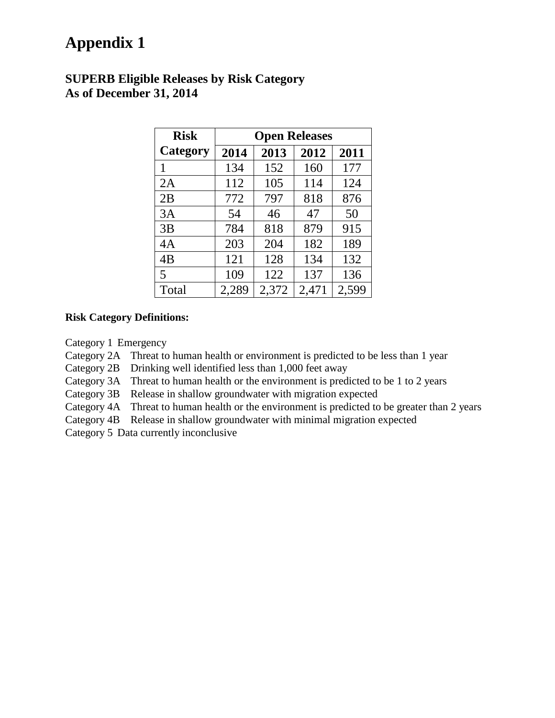# **Appendix 1**

### **SUPERB Eligible Releases by Risk Category As of December 31, 2014**

| <b>Risk</b>     | <b>Open Releases</b> |       |       |       |  |  |  |
|-----------------|----------------------|-------|-------|-------|--|--|--|
| <b>Category</b> | 2014                 | 2013  | 2012  | 2011  |  |  |  |
| 1               | 134                  | 152   | 160   | 177   |  |  |  |
| 2A              | 112                  | 105   | 114   | 124   |  |  |  |
| 2B              | 772                  | 797   | 818   | 876   |  |  |  |
| 3A              | 54                   | 46    | 47    | 50    |  |  |  |
| 3B              | 784                  | 818   | 879   | 915   |  |  |  |
| 4A              | 203                  | 204   | 182   | 189   |  |  |  |
| 4B              | 121                  | 128   | 134   | 132   |  |  |  |
| 5               | 109                  | 122   | 137   | 136   |  |  |  |
| Total           | 2,289                | 2,372 | 2,471 | 2,599 |  |  |  |

#### **Risk Category Definitions:**

Category 1 Emergency

Category 2A Threat to human health or environment is predicted to be less than 1 year

Category 2B Drinking well identified less than 1,000 feet away

Category 3A Threat to human health or the environment is predicted to be 1 to 2 years

Category 3B Release in shallow groundwater with migration expected

Category 4A Threat to human health or the environment is predicted to be greater than 2 years

Category 4B Release in shallow groundwater with minimal migration expected

Category 5 Data currently inconclusive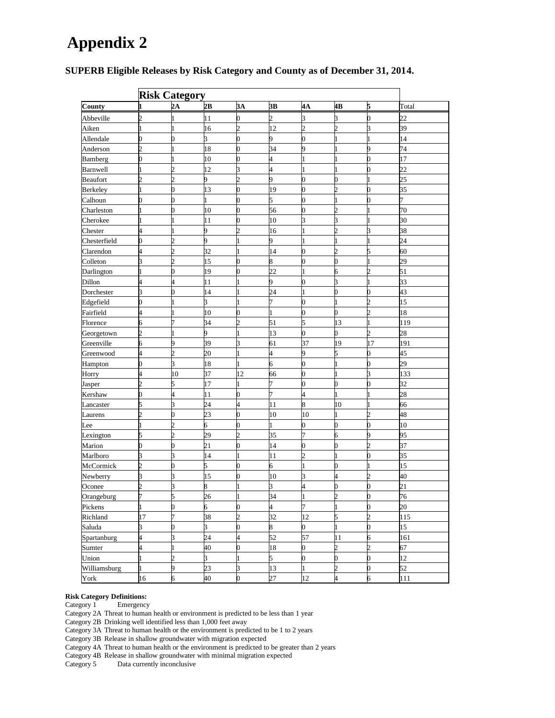## **Appendix 2**

| <b>Risk Category</b> |                       |                |                 |                             |                 |                |                |                |                 |
|----------------------|-----------------------|----------------|-----------------|-----------------------------|-----------------|----------------|----------------|----------------|-----------------|
| County               |                       | 2A             | 2B              | 3A                          | 3B              | $4\text{A}$    | 4B             | 5              | Total           |
| Abbeville            | $\overline{c}$        |                | 11              | 0                           | $\overline{2}$  | 3              | 3              | 0              | $\overline{22}$ |
| Aiken                |                       |                | 16              | $\mathcal{D}_{\mathcal{A}}$ | 12              | $\overline{2}$ | $\overline{2}$ | 3              | 39              |
| Allendale            | D                     | 0              | 3               | 0                           | 9               | 0              | 1              |                | 14              |
| Anderson             |                       |                | 18              | n                           | 34              | 9              |                | 9              | 74              |
| Bamberg              | D                     |                | 10              | 0                           | 4               |                | 1              | 0              | 17              |
| Barnwell             |                       | $\overline{c}$ | $\overline{12}$ | 3                           | 4               |                |                |                | 22              |
| Beaufort             | $\mathcal{D}_{\cdot}$ | 2              | 9               | C                           | 9               | 0              | 0              |                | 25              |
| Berkeley             |                       | 0              | 13              | 0                           | 19              | 0              | 2              | 0              | 35              |
| Calhoun              | Э                     | 0              |                 | D                           | 5               | 0              | 1              | 0              |                 |
| Charleston           |                       | $\overline{0}$ | 10              | 0                           | 56              | 0              | $\overline{2}$ |                | 70              |
| Cherokee             |                       |                | 11              | 0                           | 10              | 3              | 3              |                | 30              |
| Chester              | 4                     |                | 9               | $\mathcal{D}_{\mathcal{A}}$ | 16              |                | $\overline{c}$ | 3              | 38              |
| Chesterfield         | 0                     | $\overline{c}$ | 9               |                             | 9               |                | 1              |                | 24              |
| Clarendon            | 4                     | $\overline{c}$ | 32              | 1                           | 14              | 0              | $\overline{2}$ | 5              | 60              |
| Colleton             | B                     | $\overline{c}$ | 15              | 0                           | 8               | 0              | 0              |                | 29              |
| Darlington           |                       | 0              | 19              | 0                           | $\overline{22}$ |                | 6              | $\overline{c}$ | 51              |
| Dillon               | 4                     | 4              | 11              |                             | 9               | 0              | 3              |                | 33              |
| Dorchester           | 3                     | 0              | 14              |                             | 24              |                | $\overline{0}$ | Λ              | 43              |
| Edgefield            | D                     |                | 3               |                             | 7               | 0              | 1              | C              | 15              |
| Fairfield            | 4                     |                | 10              |                             |                 | 0              | 0              | 2              | 18              |
| Florence             | 6                     |                | 34              |                             | 51              | 5              | 13             |                | 119             |
| Georgetown           | D.                    |                | 9               |                             | 13              | 0              | 0              | າ              | 28              |
| Greenville           | 6                     | 9              | 39              | 3                           | 61              | 37             | 19             | 17             | 191             |
| Greenwood            | 4                     | 2              | 20              |                             | 4               | 9              | 5              | 0              | 45              |
| Hampton              | D                     | 3              | 18              |                             | б               | 0              | 1              |                | 29              |
| Horry                | 4                     | 10             | 37              | 12                          | 66              | 0              | 1              | 3              | 133             |
| Jasper               | Þ                     | 5              | 17              |                             |                 | 0              | 0              | በ              | 32              |
| Kershaw              | ٦                     | 4              | 11              | n                           |                 | 4              | 1              |                | 28              |
| Lancaster            |                       | 3              | 24              | 4                           | 11              | 8              | 10             |                | 66              |
| Laurens              |                       | 0              | 23              | 0                           | 10              | 10             |                | 2              | 48              |
| Lee                  |                       | $\overline{c}$ | 6               | 0                           |                 | 0              | 0              | 0              | 10              |
| Lexington            | 5                     | $\overline{c}$ | 29              | 2                           | 35              | 7              | 6              | 9              | 95              |
| Marion               | 0                     | $\overline{0}$ | 21              | 0                           | 14              | 0              | 0              | $\overline{c}$ | 37              |
| Marlboro             | B                     | 3              | 14              |                             | 11              | $\overline{c}$ | $\mathbf{1}$   | 0              | 35              |
| McCormick            | $\overline{c}$        | $\overline{0}$ | 5               | 0                           | 6               |                | 0              |                | 15              |
| Newberry             | B                     | 3              | 15              | 0                           | 10              | 3              | 4              | $\overline{c}$ | 40              |
| Oconee               | Þ.                    | 3              | 8               |                             | 3               | 4              | 0              | 0              | $\overline{21}$ |
| Orangeburg           | 7                     | 5              | 26              | 1                           | 34              | 1              | $\overline{2}$ | 0              | 76              |
| Pickens              |                       | $\overline{0}$ | 6               | $\overline{0}$              | 4               | 7              | $\mathbf{1}$   | $\overline{0}$ | 20              |
| Richland             | 17                    | 7              | 38              | $\overline{c}$              | 32              | 12             | 5              | $\overline{c}$ | 115             |
| Saluda               | 3                     | 0              | $\overline{3}$  | $\overline{0}$              | 8               | $\overline{0}$ | $\mathbf{1}$   | $\overline{0}$ | 15              |
| Spartanburg          | 4                     | 3              | 24              | 4                           | 52              | 57             | 11             | 6              | 161             |
| Sumter               | 4                     |                | 40              | 0                           | 18              | 0              | $\overline{c}$ | $\overline{2}$ | 67              |
| Union                |                       | $\overline{c}$ | 3               |                             | 5               | $\overline{0}$ | 0              | $\overline{0}$ | 12              |
| Williamsburg         |                       | 9              | 23              | 3                           | 13              | 1              | $\overline{c}$ | 0              | 52              |
| York                 | 16                    | 6              | 40              | 0                           | 27              | 12             | 4              | 6              | 111             |

#### **SUPERB Eligible Releases by Risk Category and County as of December 31, 2014.**

#### **Risk Category Definitions:**

Category 1 Emergency

Category 2A Threat to human health or environment is predicted to be less than 1 year

Category 2B Drinking well identified less than 1,000 feet away

Category 3A Threat to human health or the environment is predicted to be 1 to 2 years

Category 3B Release in shallow groundwater with migration expected

Category 4A Threat to human health or the environment is predicted to be greater than 2 years

Category 4B Release in shallow groundwater with minimal migration expected Category 5 Data currently inconclusive

Data currently inconclusive